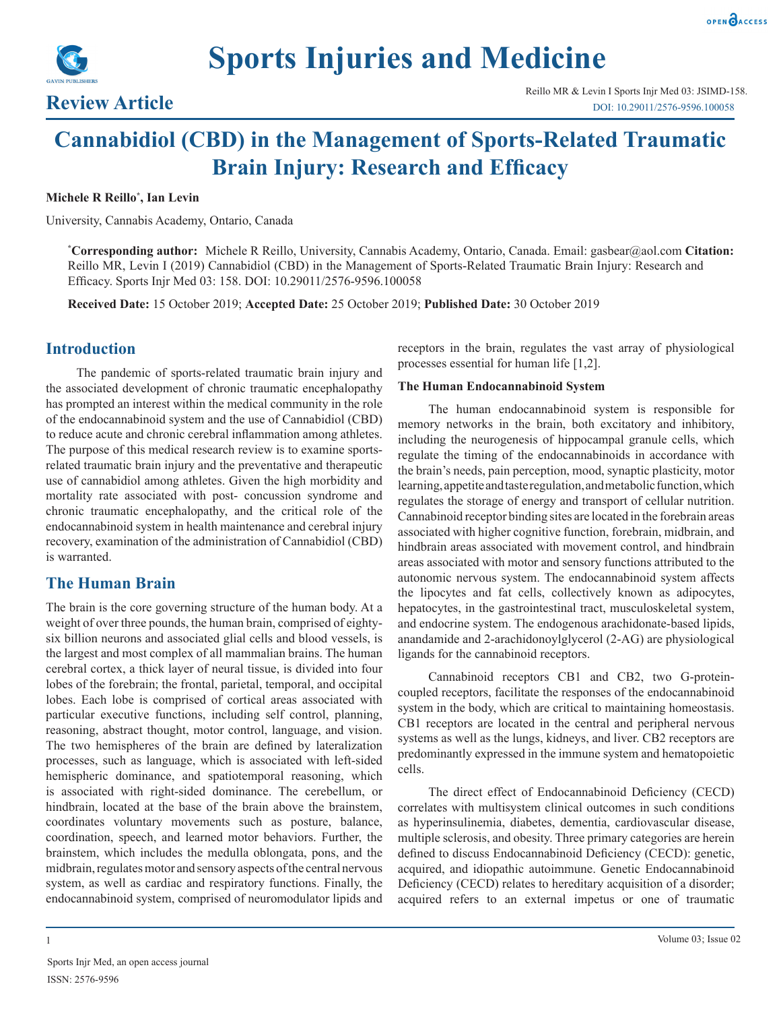



# **Cannabidiol (CBD) in the Management of Sports-Related Traumatic Brain Injury: Research and Efficacy**

# **Michele R Reillo\* , Ian Levin**

University, Cannabis Academy, Ontario, Canada

**\* Corresponding author:** Michele R Reillo, University, Cannabis Academy, Ontario, Canada. Email: gasbear@aol.com **Citation:**  Reillo MR, Levin I (2019) Cannabidiol (CBD) in the Management of Sports-Related Traumatic Brain Injury: Research and Efficacy. Sports Injr Med 03: 158. DOI: 10.29011/2576-9596.100058

**Received Date:** 15 October 2019; **Accepted Date:** 25 October 2019; **Published Date:** 30 October 2019

# **Introduction**

The pandemic of sports-related traumatic brain injury and the associated development of chronic traumatic encephalopathy has prompted an interest within the medical community in the role of the endocannabinoid system and the use of Cannabidiol (CBD) to reduce acute and chronic cerebral inflammation among athletes. The purpose of this medical research review is to examine sportsrelated traumatic brain injury and the preventative and therapeutic use of cannabidiol among athletes. Given the high morbidity and mortality rate associated with post- concussion syndrome and chronic traumatic encephalopathy, and the critical role of the endocannabinoid system in health maintenance and cerebral injury recovery, examination of the administration of Cannabidiol (CBD) is warranted.

# **The Human Brain**

The brain is the core governing structure of the human body. At a weight of over three pounds, the human brain, comprised of eightysix billion neurons and associated glial cells and blood vessels, is the largest and most complex of all mammalian brains. The human cerebral cortex, a thick layer of neural tissue, is divided into four lobes of the forebrain; the frontal, parietal, temporal, and occipital lobes. Each lobe is comprised of cortical areas associated with particular executive functions, including self control, planning, reasoning, abstract thought, motor control, language, and vision. The two hemispheres of the brain are defined by lateralization processes, such as language, which is associated with left-sided hemispheric dominance, and spatiotemporal reasoning, which is associated with right-sided dominance. The cerebellum, or hindbrain, located at the base of the brain above the brainstem, coordinates voluntary movements such as posture, balance, coordination, speech, and learned motor behaviors. Further, the brainstem, which includes the medulla oblongata, pons, and the midbrain, regulates motor and sensory aspects of the central nervous system, as well as cardiac and respiratory functions. Finally, the endocannabinoid system, comprised of neuromodulator lipids and

receptors in the brain, regulates the vast array of physiological processes essential for human life [1,2].

## **The Human Endocannabinoid System**

The human endocannabinoid system is responsible for memory networks in the brain, both excitatory and inhibitory, including the neurogenesis of hippocampal granule cells, which regulate the timing of the endocannabinoids in accordance with the brain's needs, pain perception, mood, synaptic plasticity, motor learning, appetite and taste regulation, and metabolic function, which regulates the storage of energy and transport of cellular nutrition. Cannabinoid receptor binding sites are located in the forebrain areas associated with higher cognitive function, forebrain, midbrain, and hindbrain areas associated with movement control, and hindbrain areas associated with motor and sensory functions attributed to the autonomic nervous system. The endocannabinoid system affects the lipocytes and fat cells, collectively known as adipocytes, hepatocytes, in the gastrointestinal tract, musculoskeletal system, and endocrine system. The endogenous arachidonate-based lipids, anandamide and 2-arachidonoylglycerol (2-AG) are physiological ligands for the cannabinoid receptors.

Cannabinoid receptors CB1 and CB2, two G-proteincoupled receptors, facilitate the responses of the endocannabinoid system in the body, which are critical to maintaining homeostasis. CB1 receptors are located in the central and peripheral nervous systems as well as the lungs, kidneys, and liver. CB2 receptors are predominantly expressed in the immune system and hematopoietic cells.

The direct effect of Endocannabinoid Deficiency (CECD) correlates with multisystem clinical outcomes in such conditions as hyperinsulinemia, diabetes, dementia, cardiovascular disease, multiple sclerosis, and obesity. Three primary categories are herein defined to discuss Endocannabinoid Deficiency (CECD): genetic, acquired, and idiopathic autoimmune. Genetic Endocannabinoid Deficiency (CECD) relates to hereditary acquisition of a disorder; acquired refers to an external impetus or one of traumatic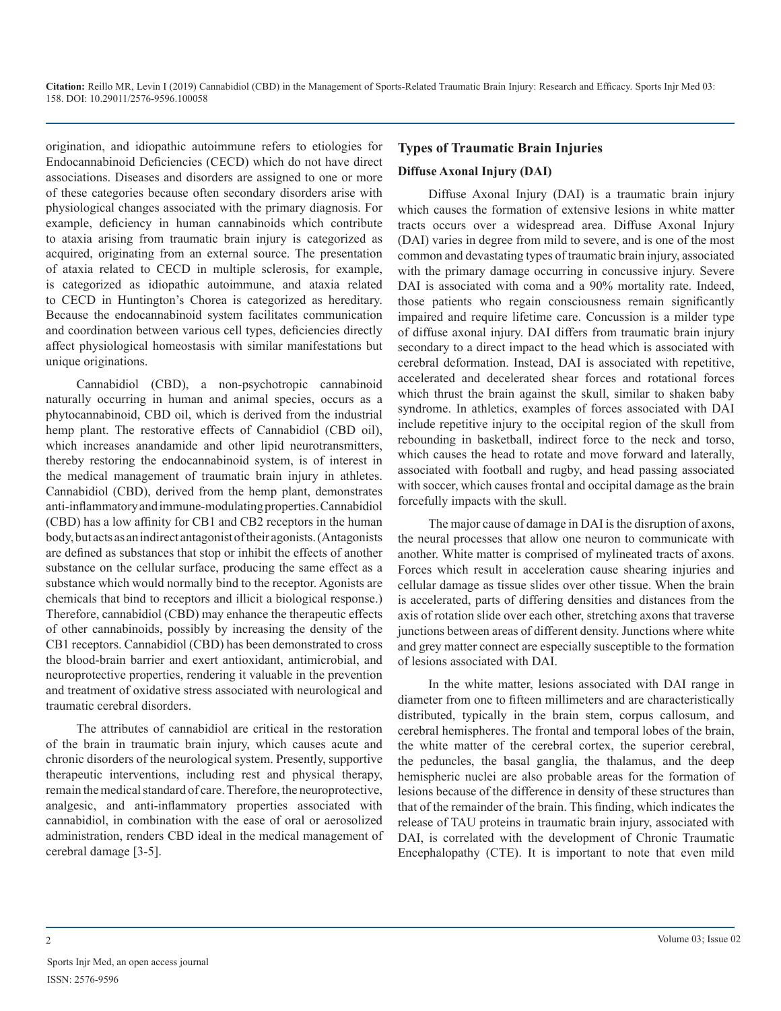origination, and idiopathic autoimmune refers to etiologies for Endocannabinoid Deficiencies (CECD) which do not have direct associations. Diseases and disorders are assigned to one or more of these categories because often secondary disorders arise with physiological changes associated with the primary diagnosis. For example, deficiency in human cannabinoids which contribute to ataxia arising from traumatic brain injury is categorized as acquired, originating from an external source. The presentation of ataxia related to CECD in multiple sclerosis, for example, is categorized as idiopathic autoimmune, and ataxia related to CECD in Huntington's Chorea is categorized as hereditary. Because the endocannabinoid system facilitates communication and coordination between various cell types, deficiencies directly affect physiological homeostasis with similar manifestations but unique originations.

Cannabidiol (CBD), a non-psychotropic cannabinoid naturally occurring in human and animal species, occurs as a phytocannabinoid, CBD oil, which is derived from the industrial hemp plant. The restorative effects of Cannabidiol (CBD oil), which increases anandamide and other lipid neurotransmitters, thereby restoring the endocannabinoid system, is of interest in the medical management of traumatic brain injury in athletes. Cannabidiol (CBD), derived from the hemp plant, demonstrates anti-inflammatory and immune-modulating properties. Cannabidiol (CBD) has a low affinity for CB1 and CB2 receptors in the human body, but acts as an indirect antagonist of their agonists. (Antagonists are defined as substances that stop or inhibit the effects of another substance on the cellular surface, producing the same effect as a substance which would normally bind to the receptor. Agonists are chemicals that bind to receptors and illicit a biological response.) Therefore, cannabidiol (CBD) may enhance the therapeutic effects of other cannabinoids, possibly by increasing the density of the CB1 receptors. Cannabidiol (CBD) has been demonstrated to cross the blood-brain barrier and exert antioxidant, antimicrobial, and neuroprotective properties, rendering it valuable in the prevention and treatment of oxidative stress associated with neurological and traumatic cerebral disorders.

The attributes of cannabidiol are critical in the restoration of the brain in traumatic brain injury, which causes acute and chronic disorders of the neurological system. Presently, supportive therapeutic interventions, including rest and physical therapy, remain the medical standard of care. Therefore, the neuroprotective, analgesic, and anti-inflammatory properties associated with cannabidiol, in combination with the ease of oral or aerosolized administration, renders CBD ideal in the medical management of cerebral damage [3-5].

# **Types of Traumatic Brain Injuries Diffuse Axonal Injury (DAI)**

Diffuse Axonal Injury (DAI) is a traumatic brain injury which causes the formation of extensive lesions in white matter tracts occurs over a widespread area. Diffuse Axonal Injury (DAI) varies in degree from mild to severe, and is one of the most common and devastating types of traumatic brain injury, associated with the primary damage occurring in concussive injury. Severe DAI is associated with coma and a 90% mortality rate. Indeed, those patients who regain consciousness remain significantly impaired and require lifetime care. Concussion is a milder type of diffuse axonal injury. DAI differs from traumatic brain injury secondary to a direct impact to the head which is associated with cerebral deformation. Instead, DAI is associated with repetitive, accelerated and decelerated shear forces and rotational forces which thrust the brain against the skull, similar to shaken baby syndrome. In athletics, examples of forces associated with DAI include repetitive injury to the occipital region of the skull from rebounding in basketball, indirect force to the neck and torso, which causes the head to rotate and move forward and laterally, associated with football and rugby, and head passing associated with soccer, which causes frontal and occipital damage as the brain forcefully impacts with the skull.

The major cause of damage in DAI is the disruption of [axons,](https://en.wikipedia.org/wiki/Axons) the neural processes that allow one [neuron](https://en.wikipedia.org/wiki/Neuron) to communicate with another. White matter is comprised of mylineated tracts of axons. Forces which result in acceleration cause shearing injuries and cellular damage as tissue slides over other tissue. When the brain is accelerated, parts of differing densities and distances from the axis of rotation slide over each other, stretching axons that traverse junctions between areas of different density. Junctions where white and grey matter connect are especially susceptible to the formation of lesions associated with DAI.

In the white matter, lesions associated with DAI range in diameter from one to fifteen millimeters and are characteristically distributed, typically in the brain stem, corpus callosum, and cerebral hemispheres. The frontal and temporal lobes of the brain, the white matter of the cerebral cortex, the superior cerebral, the peduncles, the basal ganglia, the thalamus, and the deep hemispheric nuclei are also probable areas for the formation of lesions because of the difference in density of these structures than that of the remainder of the brain. This finding, which indicates the release of TAU proteins in traumatic brain injury, associated with DAI, is correlated with the development of Chronic Traumatic Encephalopathy (CTE). It is important to note that even mild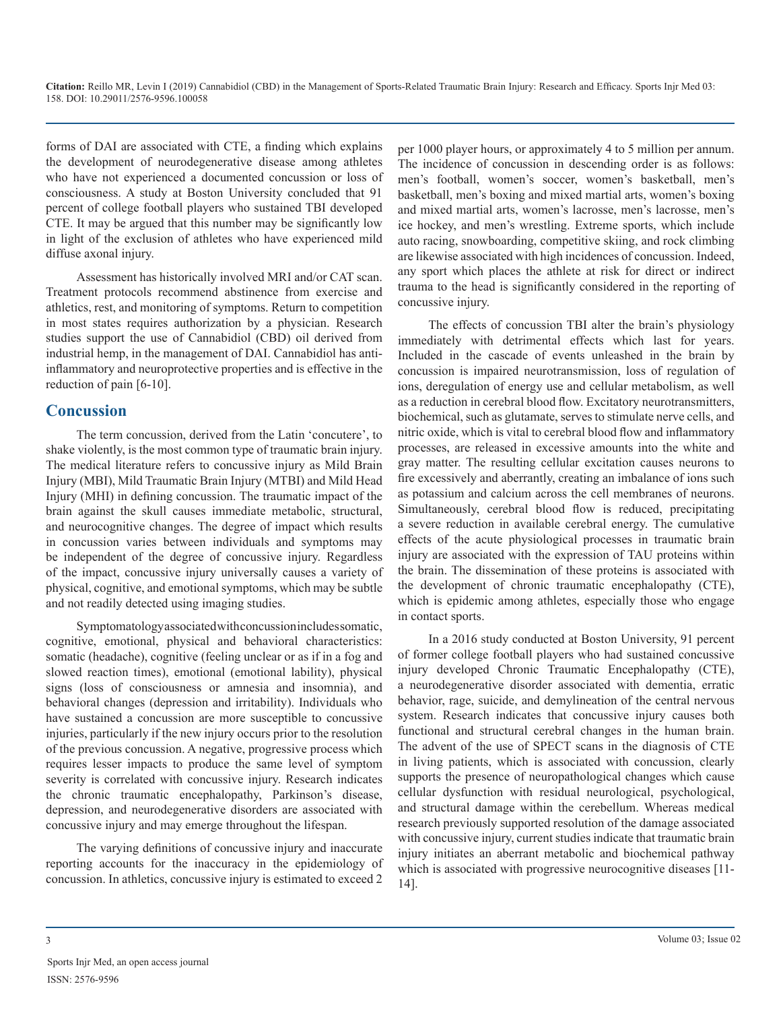forms of DAI are associated with CTE, a finding which explains the development of neurodegenerative disease among athletes who have not experienced a documented concussion or loss of consciousness. A study at Boston University concluded that 91 percent of college football players who sustained TBI developed CTE. It may be argued that this number may be significantly low in light of the exclusion of athletes who have experienced mild diffuse axonal injury.

Assessment has historically involved MRI and/or CAT scan. Treatment protocols recommend abstinence from exercise and athletics, rest, and monitoring of symptoms. Return to competition in most states requires authorization by a physician. Research studies support the use of Cannabidiol (CBD) oil derived from industrial hemp, in the management of DAI. Cannabidiol has antiinflammatory and neuroprotective properties and is effective in the reduction of pain [6-10].

# **Concussion**

The term concussion, derived from the Latin 'concutere', to shake violently, is the most common type of traumatic brain injury. The medical literature refers to concussive injury as Mild Brain Injury (MBI), Mild Traumatic Brain Injury (MTBI) and Mild Head Injury (MHI) in defining concussion. The traumatic impact of the brain against the skull causes immediate metabolic, structural, and neurocognitive changes. The degree of impact which results in concussion varies between individuals and symptoms may be independent of the degree of concussive injury. Regardless of the impact, concussive injury universally causes a variety of physical, cognitive, and emotional symptoms, which may be subtle and not readily detected using imaging studies.

Symptomatology associated with concussion includes somatic, cognitive, emotional, physical and behavioral characteristics: somatic (headache), cognitive (feeling unclear or as if in a fog and slowed reaction times), emotional (emotional lability), physical signs (loss of consciousness or amnesia and insomnia), and behavioral changes (depression and irritability). Individuals who have sustained a concussion are more susceptible to concussive injuries, particularly if the new injury occurs prior to the resolution of the previous concussion. A negative, progressive process which requires lesser impacts to produce the same level of symptom severity is correlated with concussive injury. Research indicates the chronic traumatic encephalopathy, Parkinson's disease, depression, and neurodegenerative disorders are associated with concussive injury and may emerge throughout the lifespan.

The varying definitions of concussive injury and inaccurate reporting accounts for the inaccuracy in the epidemiology of concussion. In athletics, concussive injury is estimated to exceed 2

per 1000 player hours, or approximately 4 to 5 million per annum. The incidence of concussion in descending order is as follows: men's football, women's soccer, women's basketball, men's basketball, men's boxing and mixed martial arts, women's boxing and mixed martial arts, women's lacrosse, men's lacrosse, men's ice hockey, and men's wrestling. Extreme sports, which include auto racing, snowboarding, competitive skiing, and rock climbing are likewise associated with high incidences of concussion. Indeed, any sport which places the athlete at risk for direct or indirect trauma to the head is significantly considered in the reporting of concussive injury.

The effects of concussion TBI alter the brain's physiology immediately with detrimental effects which last for years. Included in the cascade of events unleashed in the brain by concussion is impaired neurotransmission, loss of regulation of ions, deregulation of energy use and cellular metabolism, as well as a reduction in cerebral blood flow. Excitatory neurotransmitters, biochemical, such as glutamate, serves to stimulate nerve cells, and nitric oxide, which is vital to cerebral blood flow and inflammatory processes, are released in excessive amounts into the white and gray matter. The resulting cellular excitation causes neurons to fire excessively and aberrantly, creating an imbalance of ions such as potassium and calcium across the cell membranes of neurons. Simultaneously, cerebral blood flow is reduced, precipitating a severe reduction in available cerebral energy. The cumulative effects of the acute physiological processes in traumatic brain injury are associated with the expression of TAU proteins within the brain. The dissemination of these proteins is associated with the development of chronic traumatic encephalopathy (CTE), which is epidemic among athletes, especially those who engage in contact sports.

In a 2016 study conducted at Boston University, 91 percent of former college football players who had sustained concussive injury developed Chronic Traumatic Encephalopathy (CTE), a neurodegenerative disorder associated with dementia, erratic behavior, rage, suicide, and demylineation of the central nervous system. Research indicates that concussive injury causes both functional and structural cerebral changes in the human brain. The advent of the use of SPECT scans in the diagnosis of CTE in living patients, which is associated with concussion, clearly supports the presence of neuropathological changes which cause cellular dysfunction with residual neurological, psychological, and structural damage within the cerebellum. Whereas medical research previously supported resolution of the damage associated with concussive injury, current studies indicate that traumatic brain injury initiates an aberrant metabolic and biochemical pathway which is associated with progressive neurocognitive diseases [11- 14].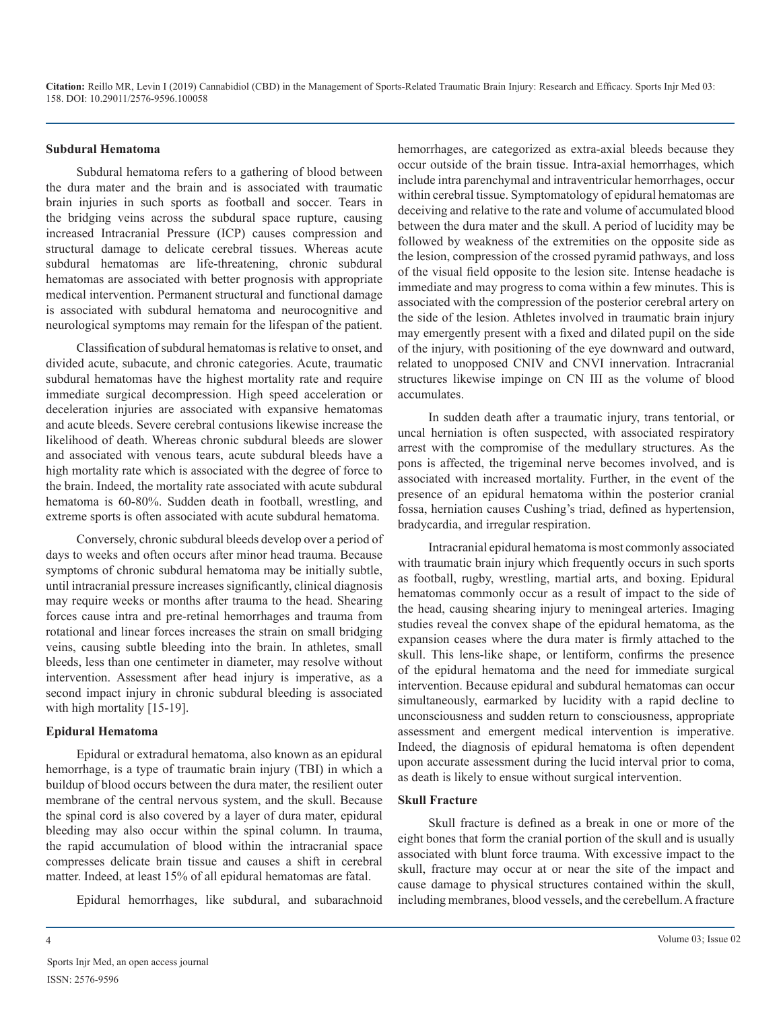#### **Subdural Hematoma**

Subdural hematoma refers to a gathering of blood between the dura mater and the brain and is associated with traumatic brain injuries in such sports as football and soccer. Tears in the bridging veins across the subdural space rupture, causing increased Intracranial Pressure (ICP) causes compression and structural damage to delicate cerebral tissues. Whereas acute subdural hematomas are life-threatening, chronic subdural hematomas are associated with better prognosis with appropriate medical intervention. Permanent structural and functional damage is associated with subdural hematoma and neurocognitive and neurological symptoms may remain for the lifespan of the patient.

Classification of subdural hematomas is relative to onset, and divided acute, subacute, and chronic categories. Acute, traumatic subdural hematomas have the highest mortality rate and require immediate surgical decompression. High speed acceleration or deceleration injuries are associated with expansive hematomas and acute bleeds. Severe cerebral contusions likewise increase the likelihood of death. Whereas chronic subdural bleeds are slower and associated with venous tears, acute subdural bleeds have a high mortality rate which is associated with the degree of force to the brain. Indeed, the mortality rate associated with acute subdural hematoma is 60-80%. Sudden death in football, wrestling, and extreme sports is often associated with acute subdural hematoma.

Conversely, chronic subdural bleeds develop over a period of days to weeks and often occurs after minor head trauma. Because symptoms of chronic subdural hematoma may be initially subtle, until intracranial pressure increases significantly, clinical diagnosis may require weeks or months after trauma to the head. Shearing forces cause intra and pre-retinal hemorrhages and trauma from rotational and linear forces increases the strain on small bridging veins, causing subtle bleeding into the brain. In athletes, small bleeds, less than one centimeter in diameter, may resolve without intervention. Assessment after head injury is imperative, as a second impact injury in chronic subdural bleeding is associated with high mortality [15-19].

#### **Epidural Hematoma**

Epidural or extradural hematoma, also known as an epidural hemorrhage, is a type of traumatic brain injury (TBI) in which a buildup of blood occurs between the dura mater, the resilient outer membrane of the central nervous system, and the skull. Because the spinal cord is also covered by a layer of dura mater, epidural bleeding may also occur within the spinal column. In trauma, the rapid accumulation of blood within the intracranial space compresses delicate brain tissue and causes a shift in cerebral matter. Indeed, at least 15% of all epidural hematomas are fatal.

Epidural hemorrhages, like subdural, and subarachnoid

hemorrhages, are categorized as extra-axial bleeds because they occur outside of the brain tissue. Intra-axial hemorrhages, which include intra parenchymal and intraventricular hemorrhages, occur within cerebral tissue. Symptomatology of epidural hematomas are deceiving and relative to the rate and volume of accumulated blood between the dura mater and the skull. A period of lucidity may be followed by weakness of the extremities on the opposite side as the lesion, compression of the crossed pyramid pathways, and loss of the visual field opposite to the lesion site. Intense headache is immediate and may progress to coma within a few minutes. This is associated with the compression of the posterior cerebral artery on the side of the lesion. Athletes involved in traumatic brain injury may emergently present with a fixed and dilated pupil on the side of the injury, with positioning of the eye downward and outward, related to unopposed CNIV and CNVI innervation. Intracranial structures likewise impinge on CN III as the volume of blood accumulates.

In sudden death after a traumatic injury, trans tentorial, or uncal herniation is often suspected, with associated respiratory arrest with the compromise of the medullary structures. As the pons is affected, the trigeminal nerve becomes involved, and is associated with increased mortality. Further, in the event of the presence of an epidural hematoma within the posterior cranial fossa, herniation causes Cushing's triad, defined as hypertension, bradycardia, and irregular respiration.

Intracranial epidural hematoma is most commonly associated with traumatic brain injury which frequently occurs in such sports as football, rugby, wrestling, martial arts, and boxing. Epidural hematomas commonly occur as a result of impact to the side of the head, causing shearing injury to meningeal arteries. Imaging studies reveal the convex shape of the epidural hematoma, as the expansion ceases where the dura mater is firmly attached to the skull. This lens-like shape, or lentiform, confirms the presence of the epidural hematoma and the need for immediate surgical intervention. Because epidural and subdural hematomas can occur simultaneously, earmarked by lucidity with a rapid decline to unconsciousness and sudden return to consciousness, appropriate assessment and emergent medical intervention is imperative. Indeed, the diagnosis of epidural hematoma is often dependent upon accurate assessment during the lucid interval prior to coma, as death is likely to ensue without surgical intervention.

## **Skull Fracture**

Skull fracture is defined as a break in one or more of the eight bones that form the cranial portion of the [skull](https://en.wikipedia.org/wiki/Human_skull) and is usually associated with [blunt force trauma.](https://en.wikipedia.org/wiki/Blunt_force_trauma) With excessive impact to the skull, fracture may occur at or near the site of the impact and cause damage to physical structures contained within the skull, including [membranes,](https://en.wikipedia.org/wiki/Meninges) [blood vessels](https://en.wikipedia.org/wiki/Blood_vessel), and the cerebellum. A fracture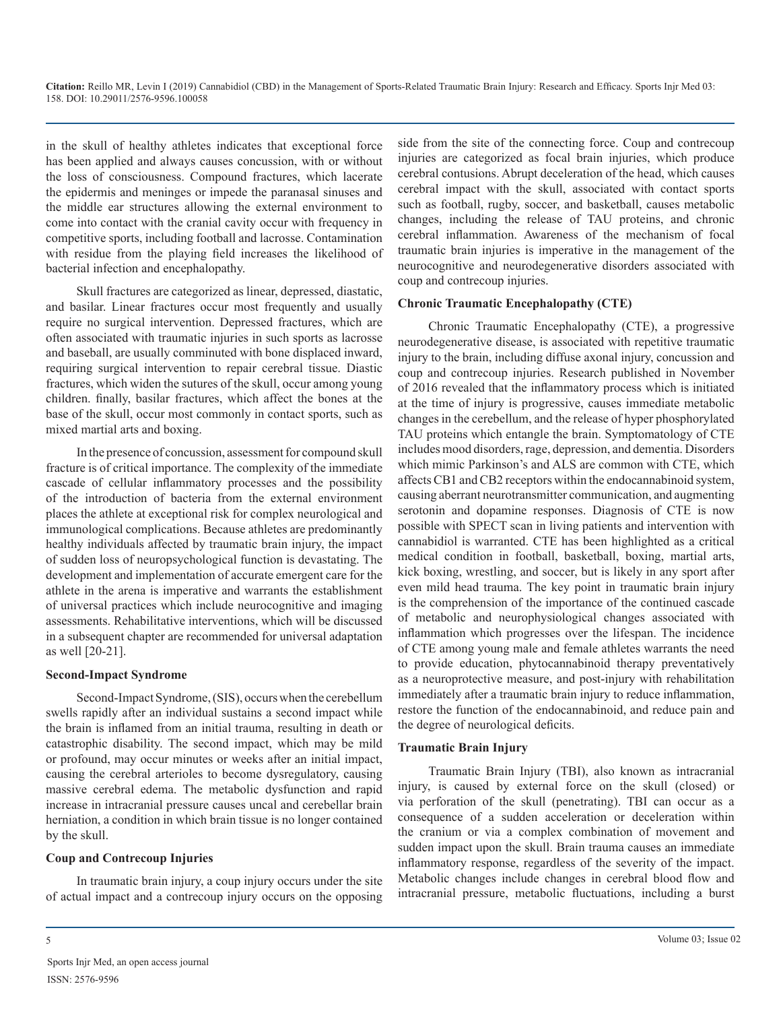in the skull of healthy athletes indicates that exceptional force has been applied and always causes concussion, with or without the loss of consciousness. Compound fractures, which lacerate the epidermis and meninges or impede the paranasal sinuses and the middle ear structures allowing the external environment to come into contact with the cranial cavity occur with frequency in competitive sports, including football and lacrosse. Contamination with residue from the playing field increases the likelihood of bacterial infection and encephalopathy.

Skull fractures are categorized as linear, depressed, diastatic, and basilar. Linear fractures occur most frequently and usually require no surgical intervention. Depressed fractures, which are often associated with traumatic injuries in such sports as lacrosse and baseball, are usually comminuted with bone displaced inward, requiring surgical intervention to repair cerebral tissue. Diastic fractures, which widen the sutures of the skull, occur among young children. finally, basilar fractures, which affect the bones at the base of the skull, occur most commonly in contact sports, such as mixed martial arts and boxing.

In the presence of concussion, assessment for compound skull fracture is of critical importance. The complexity of the immediate cascade of cellular inflammatory processes and the possibility of the introduction of bacteria from the external environment places the athlete at exceptional risk for complex neurological and immunological complications. Because athletes are predominantly healthy individuals affected by traumatic brain injury, the impact of sudden loss of neuropsychological function is devastating. The development and implementation of accurate emergent care for the athlete in the arena is imperative and warrants the establishment of universal practices which include neurocognitive and imaging assessments. Rehabilitative interventions, which will be discussed in a subsequent chapter are recommended for universal adaptation as well [20-21].

# **Second-Impact Syndrome**

Second-Impact Syndrome, (SIS), occurs when the cerebellum swells rapidly after an individual sustains a second impact while the brain is inflamed from an initial trauma, resulting in death or catastrophic disability. The second impact, which may be mild or profound, may occur minutes or weeks after an initial impact, causing the cerebral arterioles to become dysregulatory, causing massive cerebral edema. The metabolic dysfunction and rapid increase in intracranial pressure causes uncal and cerebellar brain herniation, a condition in which brain tissue is no longer contained by the skull.

# **Coup and Contrecoup Injuries**

In traumatic brain injury, a coup injury occurs under the site of actual impact and a contrecoup injury occurs on the opposing side from the site of the connecting force. Coup and contrecoup injuries are categorized as focal brain injuries, which produce cerebral contusions. Abrupt deceleration of the head, which causes cerebral impact with the skull, associated with contact sports such as football, rugby, soccer, and basketball, causes metabolic changes, including the release of TAU proteins, and chronic cerebral inflammation. Awareness of the mechanism of focal traumatic brain injuries is imperative in the management of the neurocognitive and neurodegenerative disorders associated with coup and contrecoup injuries.

# **Chronic Traumatic Encephalopathy (CTE)**

Chronic Traumatic Encephalopathy (CTE), a progressive neurodegenerative disease, is associated with repetitive traumatic injury to the brain, including diffuse axonal injury, concussion and coup and contrecoup injuries. Research published in November of 2016 revealed that the inflammatory process which is initiated at the time of injury is progressive, causes immediate metabolic changes in the cerebellum, and the release of hyper phosphorylated TAU proteins which entangle the brain. Symptomatology of CTE includes mood disorders, rage, depression, and dementia. Disorders which mimic Parkinson's and ALS are common with CTE, which affects CB1 and CB2 receptors within the endocannabinoid system, causing aberrant neurotransmitter communication, and augmenting serotonin and dopamine responses. Diagnosis of CTE is now possible with SPECT scan in living patients and intervention with cannabidiol is warranted. CTE has been highlighted as a critical medical condition in football, basketball, boxing, martial arts, kick boxing, wrestling, and soccer, but is likely in any sport after even mild head trauma. The key point in traumatic brain injury is the comprehension of the importance of the continued cascade of metabolic and neurophysiological changes associated with inflammation which progresses over the lifespan. The incidence of CTE among young male and female athletes warrants the need to provide education, phytocannabinoid therapy preventatively as a neuroprotective measure, and post-injury with rehabilitation immediately after a traumatic brain injury to reduce inflammation, restore the function of the endocannabinoid, and reduce pain and the degree of neurological deficits.

# **Traumatic Brain Injury**

Traumatic Brain Injury (TBI), also known as intracranial injury, is caused by external force on the skull (closed) or via perforation of the skull (penetrating). TBI can occur as a consequence of a sudden acceleration or deceleration within the cranium or via a complex combination of movement and sudden impact upon the skull. Brain trauma causes an immediate inflammatory response, regardless of the severity of the impact. Metabolic changes include changes in cerebral blood flow and intracranial pressure, metabolic fluctuations, including a burst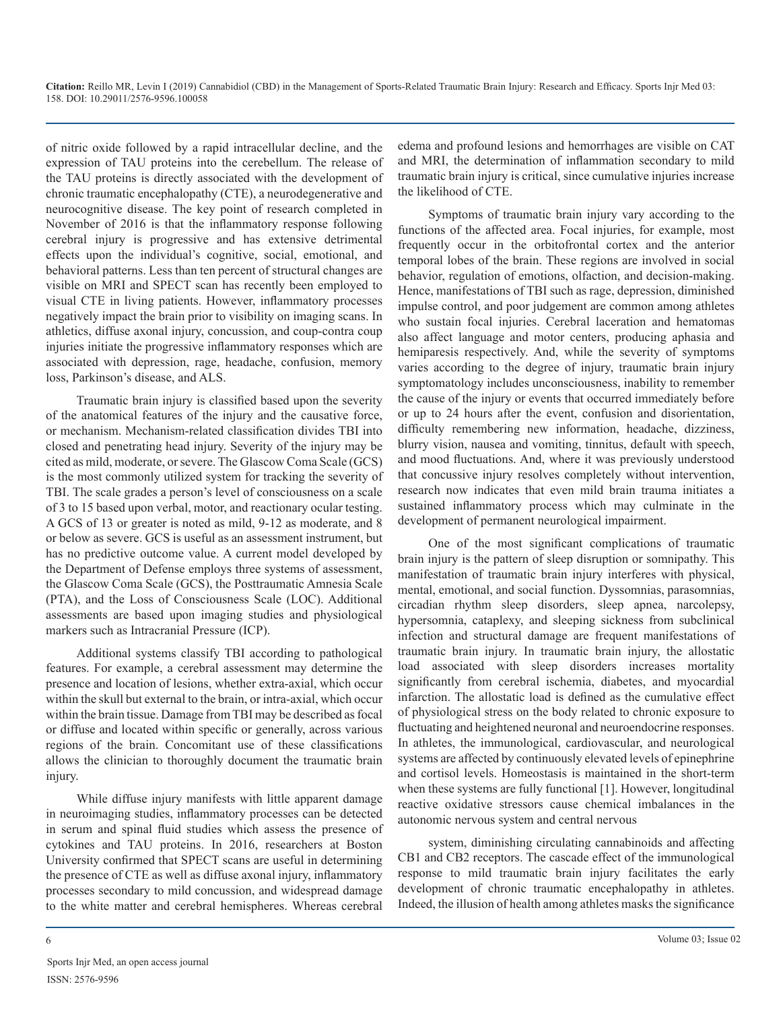of nitric oxide followed by a rapid intracellular decline, and the expression of TAU proteins into the cerebellum. The release of the TAU proteins is directly associated with the development of chronic traumatic encephalopathy (CTE), a neurodegenerative and neurocognitive disease. The key point of research completed in November of 2016 is that the inflammatory response following cerebral injury is progressive and has extensive detrimental effects upon the individual's cognitive, social, emotional, and behavioral patterns. Less than ten percent of structural changes are visible on MRI and SPECT scan has recently been employed to visual CTE in living patients. However, inflammatory processes negatively impact the brain prior to visibility on imaging scans. In athletics, diffuse axonal injury, concussion, and coup-contra coup injuries initiate the progressive inflammatory responses which are associated with depression, rage, headache, confusion, memory loss, Parkinson's disease, and ALS.

Traumatic brain injury is classified based upon the severity of the anatomical features of the injury and the causative force, or mechanism. Mechanism-related classification divides TBI into closed and penetrating head injury. Severity of the injury may be cited as mild, moderate, or severe. The Glascow Coma Scale (GCS) is the most commonly utilized system for tracking the severity of TBI. The scale grades a person's level of consciousness on a scale of 3 to 15 based upon verbal, motor, and reactionary ocular testing. A GCS of 13 or greater is noted as mild, 9-12 as moderate, and 8 or below as severe. GCS is useful as an assessment instrument, but has no predictive outcome value. A current model developed by the Department of Defense employs three systems of assessment, the Glascow Coma Scale (GCS), the Posttraumatic Amnesia Scale (PTA), and the Loss of Consciousness Scale (LOC). Additional assessments are based upon imaging studies and physiological markers such as Intracranial Pressure (ICP).

Additional systems classify TBI according to pathological features. For example, a cerebral assessment may determine the presence and location of lesions, whether extra-axial, which occur within the skull but external to the brain, or intra-axial, which occur within the brain tissue. Damage from TBI may be described as focal or diffuse and located within specific or generally, across various regions of the brain. Concomitant use of these classifications allows the clinician to thoroughly document the traumatic brain injury.

While diffuse injury manifests with little apparent damage in neuroimaging studies, inflammatory processes can be detected in serum and spinal fluid studies which assess the presence of cytokines and TAU proteins. In 2016, researchers at Boston University confirmed that SPECT scans are useful in determining the presence of CTE as well as diffuse axonal injury, inflammatory processes secondary to mild concussion, and widespread damage to the white matter and cerebral hemispheres. Whereas cerebral

edema and profound lesions and hemorrhages are visible on CAT and MRI, the determination of inflammation secondary to mild traumatic brain injury is critical, since cumulative injuries increase the likelihood of CTE.

Symptoms of traumatic brain injury vary according to the functions of the affected area. Focal injuries, for example, most frequently occur in the orbitofrontal cortex and the anterior temporal lobes of the brain. These regions are involved in social behavior, regulation of emotions, olfaction, and decision-making. Hence, manifestations of TBI such as rage, depression, diminished impulse control, and poor judgement are common among athletes who sustain focal injuries. Cerebral laceration and hematomas also affect language and motor centers, producing aphasia and hemiparesis respectively. And, while the severity of symptoms varies according to the degree of injury, traumatic brain injury symptomatology includes unconsciousness, inability to remember the cause of the injury or events that occurred immediately before or up to 24 hours after the event, confusion and disorientation, difficulty remembering new information, headache, dizziness, blurry vision, nausea and vomiting, tinnitus, default with speech, and mood fluctuations. And, where it was previously understood that concussive injury resolves completely without intervention, research now indicates that even mild brain trauma initiates a sustained inflammatory process which may culminate in the development of permanent neurological impairment.

One of the most significant complications of traumatic brain injury is the pattern of sleep disruption or somnipathy. This manifestation of traumatic brain injury interferes with physical, mental, emotional, and social function. Dyssomnias, parasomnias, circadian rhythm sleep disorders, sleep apnea, narcolepsy, hypersomnia, cataplexy, and sleeping sickness from subclinical infection and structural damage are frequent manifestations of traumatic brain injury. In traumatic brain injury, the allostatic load associated with sleep disorders increases mortality significantly from cerebral ischemia, diabetes, and myocardial infarction. The allostatic load is defined as the cumulative effect of physiological stress on the body related to chronic exposure to fluctuating and heightened neuronal and neuroendocrine responses. In athletes, the immunological, cardiovascular, and neurological systems are affected by continuously elevated levels of epinephrine and cortisol levels. Homeostasis is maintained in the short-term when these systems are fully functional [1]. However, longitudinal reactive oxidative stressors cause chemical imbalances in the autonomic nervous system and central nervous

system, diminishing circulating cannabinoids and affecting CB1 and CB2 receptors. The cascade effect of the immunological response to mild traumatic brain injury facilitates the early development of chronic traumatic encephalopathy in athletes. Indeed, the illusion of health among athletes masks the significance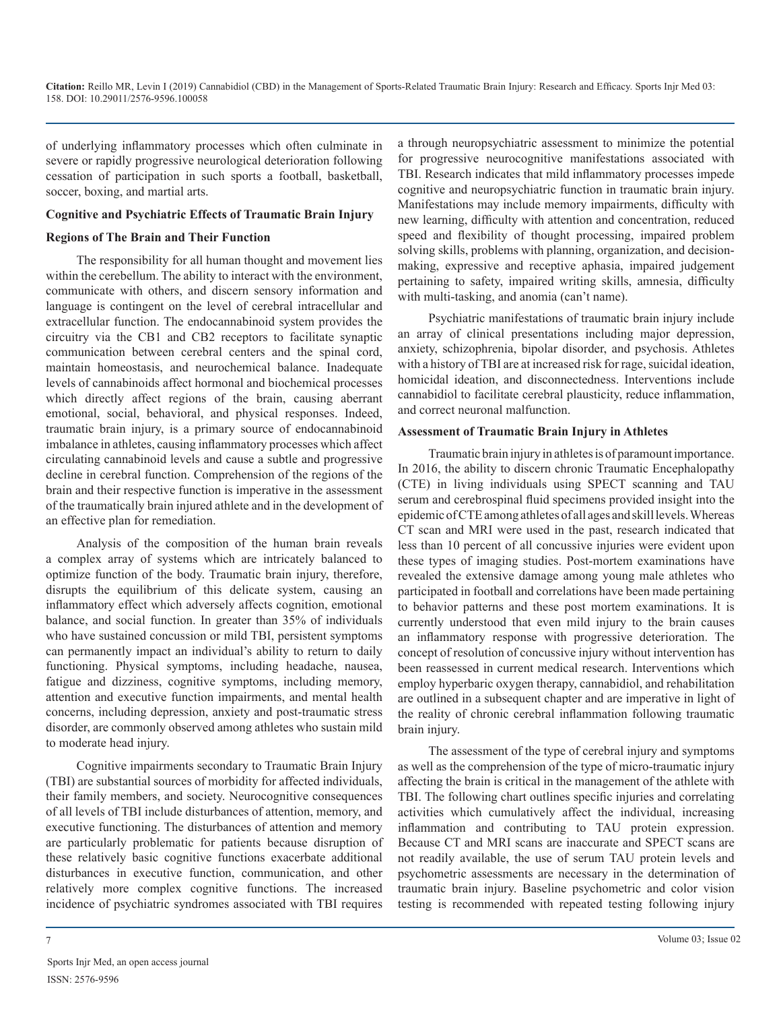of underlying inflammatory processes which often culminate in severe or rapidly progressive neurological deterioration following cessation of participation in such sports a football, basketball, soccer, boxing, and martial arts.

#### **Cognitive and Psychiatric Effects of Traumatic Brain Injury**

#### **Regions of The Brain and Their Function**

The responsibility for all human thought and movement lies within the cerebellum. The ability to interact with the environment, communicate with others, and discern sensory information and language is contingent on the level of cerebral intracellular and extracellular function. The endocannabinoid system provides the circuitry via the CB1 and CB2 receptors to facilitate synaptic communication between cerebral centers and the spinal cord, maintain homeostasis, and neurochemical balance. Inadequate levels of cannabinoids affect hormonal and biochemical processes which directly affect regions of the brain, causing aberrant emotional, social, behavioral, and physical responses. Indeed, traumatic brain injury, is a primary source of endocannabinoid imbalance in athletes, causing inflammatory processes which affect circulating cannabinoid levels and cause a subtle and progressive decline in cerebral function. Comprehension of the regions of the brain and their respective function is imperative in the assessment of the traumatically brain injured athlete and in the development of an effective plan for remediation.

Analysis of the composition of the human brain reveals a complex array of systems which are intricately balanced to optimize function of the body. Traumatic brain injury, therefore, disrupts the equilibrium of this delicate system, causing an inflammatory effect which adversely affects cognition, emotional balance, and social function. In greater than 35% of individuals who have sustained concussion or mild TBI, persistent symptoms can permanently impact an individual's ability to return to daily functioning. Physical symptoms, including headache, nausea, fatigue and dizziness, cognitive symptoms, including memory, attention and executive function impairments, and mental health concerns, including depression, anxiety and post-traumatic stress disorder, are commonly observed among athletes who sustain mild to moderate head injury.

Cognitive impairments secondary to Traumatic Brain Injury (TBI) are substantial sources of morbidity for affected individuals, their family members, and society. Neurocognitive consequences of all levels of TBI include disturbances of attention, memory, and executive functioning. The disturbances of attention and memory are particularly problematic for patients because disruption of these relatively basic cognitive functions exacerbate additional disturbances in executive function, communication, and other relatively more complex cognitive functions. The increased incidence of psychiatric syndromes associated with TBI requires

a through neuropsychiatric assessment to minimize the potential for progressive neurocognitive manifestations associated with TBI. Research indicates that mild inflammatory processes impede cognitive and neuropsychiatric function in traumatic brain injury. Manifestations may include memory impairments, difficulty with new learning, difficulty with attention and concentration, reduced speed and flexibility of thought processing, impaired problem solving skills, problems with planning, organization, and decisionmaking, expressive and receptive aphasia, impaired judgement pertaining to safety, impaired writing skills, amnesia, difficulty with multi-tasking, and anomia (can't name).

Psychiatric manifestations of traumatic brain injury include an array of clinical presentations including major depression, anxiety, schizophrenia, bipolar disorder, and psychosis. Athletes with a history of TBI are at increased risk for rage, suicidal ideation, homicidal ideation, and disconnectedness. Interventions include cannabidiol to facilitate cerebral plausticity, reduce inflammation, and correct neuronal malfunction.

#### **Assessment of Traumatic Brain Injury in Athletes**

Traumatic brain injury in athletes is of paramount importance. In 2016, the ability to discern chronic Traumatic Encephalopathy (CTE) in living individuals using SPECT scanning and TAU serum and cerebrospinal fluid specimens provided insight into the epidemic of CTE among athletes of all ages and skill levels. Whereas CT scan and MRI were used in the past, research indicated that less than 10 percent of all concussive injuries were evident upon these types of imaging studies. Post-mortem examinations have revealed the extensive damage among young male athletes who participated in football and correlations have been made pertaining to behavior patterns and these post mortem examinations. It is currently understood that even mild injury to the brain causes an inflammatory response with progressive deterioration. The concept of resolution of concussive injury without intervention has been reassessed in current medical research. Interventions which employ hyperbaric oxygen therapy, cannabidiol, and rehabilitation are outlined in a subsequent chapter and are imperative in light of the reality of chronic cerebral inflammation following traumatic brain injury.

The assessment of the type of cerebral injury and symptoms as well as the comprehension of the type of micro-traumatic injury affecting the brain is critical in the management of the athlete with TBI. The following chart outlines specific injuries and correlating activities which cumulatively affect the individual, increasing inflammation and contributing to TAU protein expression. Because CT and MRI scans are inaccurate and SPECT scans are not readily available, the use of serum TAU protein levels and psychometric assessments are necessary in the determination of traumatic brain injury. Baseline psychometric and color vision testing is recommended with repeated testing following injury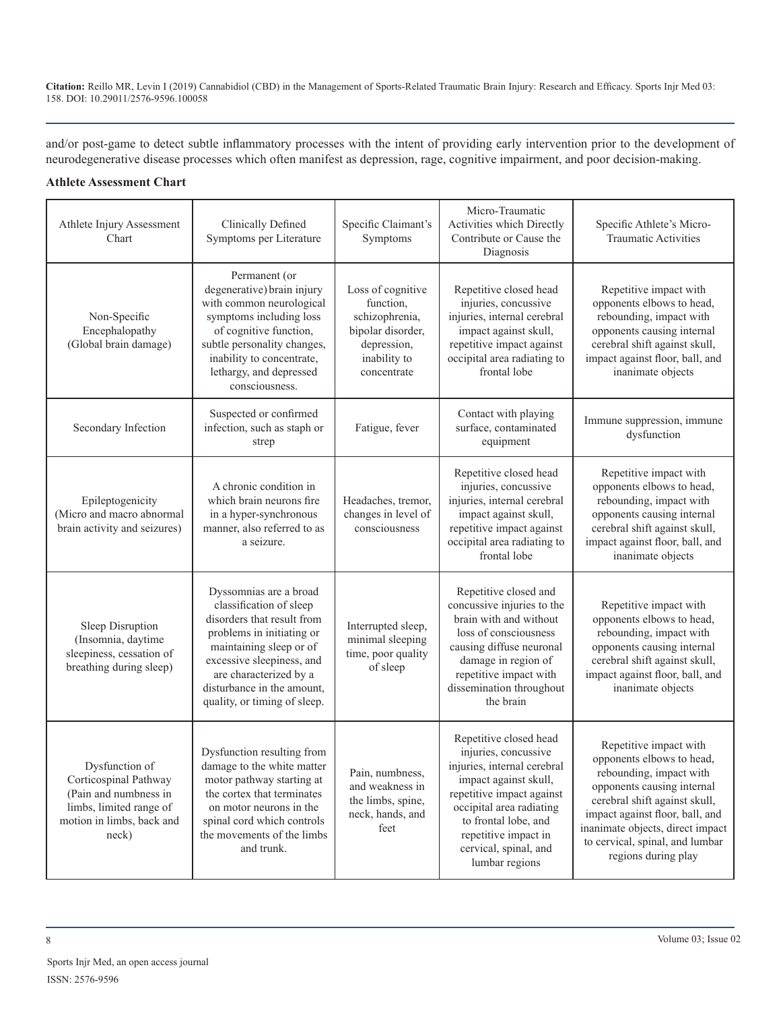and/or post-game to detect subtle inflammatory processes with the intent of providing early intervention prior to the development of neurodegenerative disease processes which often manifest as depression, rage, cognitive impairment, and poor decision-making.

# **Athlete Assessment Chart**

| Athlete Injury Assessment<br>Chart                                                                                                | Clinically Defined<br>Symptoms per Literature                                                                                                                                                                                                                | Specific Claimant's<br>Symptoms                                                                                     | Micro-Traumatic<br>Activities which Directly<br>Contribute or Cause the<br>Diagnosis                                                                                                                                                                       | Specific Athlete's Micro-<br><b>Traumatic Activities</b>                                                                                                                                                                                                                       |
|-----------------------------------------------------------------------------------------------------------------------------------|--------------------------------------------------------------------------------------------------------------------------------------------------------------------------------------------------------------------------------------------------------------|---------------------------------------------------------------------------------------------------------------------|------------------------------------------------------------------------------------------------------------------------------------------------------------------------------------------------------------------------------------------------------------|--------------------------------------------------------------------------------------------------------------------------------------------------------------------------------------------------------------------------------------------------------------------------------|
| Non-Specific<br>Encephalopathy<br>(Global brain damage)                                                                           | Permanent (or<br>degenerative) brain injury<br>with common neurological<br>symptoms including loss<br>of cognitive function,<br>subtle personality changes,<br>inability to concentrate,<br>lethargy, and depressed<br>consciousness.                        | Loss of cognitive<br>function,<br>schizophrenia,<br>bipolar disorder,<br>depression,<br>inability to<br>concentrate | Repetitive closed head<br>injuries, concussive<br>injuries, internal cerebral<br>impact against skull,<br>repetitive impact against<br>occipital area radiating to<br>frontal lobe                                                                         | Repetitive impact with<br>opponents elbows to head,<br>rebounding, impact with<br>opponents causing internal<br>cerebral shift against skull,<br>impact against floor, ball, and<br>inanimate objects                                                                          |
| Secondary Infection                                                                                                               | Suspected or confirmed<br>infection, such as staph or<br>strep                                                                                                                                                                                               | Fatigue, fever                                                                                                      | Contact with playing<br>surface, contaminated<br>equipment                                                                                                                                                                                                 | Immune suppression, immune<br>dysfunction                                                                                                                                                                                                                                      |
| Epileptogenicity<br>(Micro and macro abnormal<br>brain activity and seizures)                                                     | A chronic condition in<br>which brain neurons fire<br>in a hyper-synchronous<br>manner, also referred to as<br>a seizure.                                                                                                                                    | Headaches, tremor,<br>changes in level of<br>consciousness                                                          | Repetitive closed head<br>injuries, concussive<br>injuries, internal cerebral<br>impact against skull,<br>repetitive impact against<br>occipital area radiating to<br>frontal lobe                                                                         | Repetitive impact with<br>opponents elbows to head,<br>rebounding, impact with<br>opponents causing internal<br>cerebral shift against skull,<br>impact against floor, ball, and<br>inanimate objects                                                                          |
| Sleep Disruption<br>(Insomnia, daytime<br>sleepiness, cessation of<br>breathing during sleep)                                     | Dyssomnias are a broad<br>classification of sleep<br>disorders that result from<br>problems in initiating or<br>maintaining sleep or of<br>excessive sleepiness, and<br>are characterized by a<br>disturbance in the amount,<br>quality, or timing of sleep. | Interrupted sleep,<br>minimal sleeping<br>time, poor quality<br>of sleep                                            | Repetitive closed and<br>concussive injuries to the<br>brain with and without<br>loss of consciousness<br>causing diffuse neuronal<br>damage in region of<br>repetitive impact with<br>dissemination throughout<br>the brain                               | Repetitive impact with<br>opponents elbows to head,<br>rebounding, impact with<br>opponents causing internal<br>cerebral shift against skull,<br>impact against floor, ball, and<br>inanimate objects                                                                          |
| Dysfunction of<br>Corticospinal Pathway<br>(Pain and numbness in<br>limbs, limited range of<br>motion in limbs, back and<br>neck) | Dysfunction resulting from<br>damage to the white matter<br>motor pathway starting at<br>the cortex that terminates<br>on motor neurons in the<br>spinal cord which controls<br>the movements of the limbs<br>and trunk.                                     | Pain, numbness,<br>and weakness in<br>the limbs, spine,<br>neck, hands, and<br>feet                                 | Repetitive closed head<br>injuries, concussive<br>injuries, internal cerebral<br>impact against skull,<br>repetitive impact against<br>occipital area radiating<br>to frontal lobe, and<br>repetitive impact in<br>cervical, spinal, and<br>lumbar regions | Repetitive impact with<br>opponents elbows to head,<br>rebounding, impact with<br>opponents causing internal<br>cerebral shift against skull,<br>impact against floor, ball, and<br>inanimate objects, direct impact<br>to cervical, spinal, and lumbar<br>regions during play |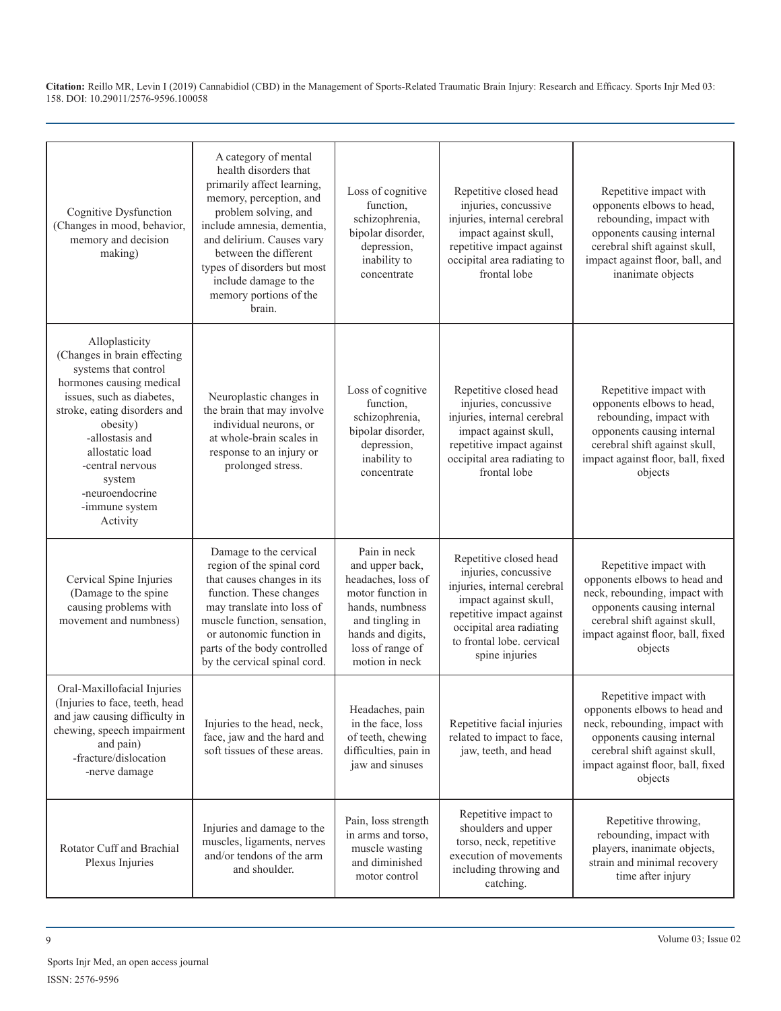| Cognitive Dysfunction<br>(Changes in mood, behavior,<br>memory and decision<br>making)                                                                                                                                                                                                          | A category of mental<br>health disorders that<br>primarily affect learning,<br>memory, perception, and<br>problem solving, and<br>include amnesia, dementia,<br>and delirium. Causes vary<br>between the different<br>types of disorders but most<br>include damage to the<br>memory portions of the<br>brain. | Loss of cognitive<br>function,<br>schizophrenia,<br>bipolar disorder,<br>depression,<br>inability to<br>concentrate                                                         | Repetitive closed head<br>injuries, concussive<br>injuries, internal cerebral<br>impact against skull,<br>repetitive impact against<br>occipital area radiating to<br>frontal lobe                             | Repetitive impact with<br>opponents elbows to head,<br>rebounding, impact with<br>opponents causing internal<br>cerebral shift against skull,<br>impact against floor, ball, and<br>inanimate objects  |
|-------------------------------------------------------------------------------------------------------------------------------------------------------------------------------------------------------------------------------------------------------------------------------------------------|----------------------------------------------------------------------------------------------------------------------------------------------------------------------------------------------------------------------------------------------------------------------------------------------------------------|-----------------------------------------------------------------------------------------------------------------------------------------------------------------------------|----------------------------------------------------------------------------------------------------------------------------------------------------------------------------------------------------------------|--------------------------------------------------------------------------------------------------------------------------------------------------------------------------------------------------------|
| Alloplasticity<br>(Changes in brain effecting<br>systems that control<br>hormones causing medical<br>issues, such as diabetes,<br>stroke, eating disorders and<br>obesity)<br>-allostasis and<br>allostatic load<br>-central nervous<br>system<br>-neuroendocrine<br>-immune system<br>Activity | Neuroplastic changes in<br>the brain that may involve<br>individual neurons, or<br>at whole-brain scales in<br>response to an injury or<br>prolonged stress.                                                                                                                                                   | Loss of cognitive<br>function,<br>schizophrenia,<br>bipolar disorder,<br>depression,<br>inability to<br>concentrate                                                         | Repetitive closed head<br>injuries, concussive<br>injuries, internal cerebral<br>impact against skull,<br>repetitive impact against<br>occipital area radiating to<br>frontal lobe                             | Repetitive impact with<br>opponents elbows to head,<br>rebounding, impact with<br>opponents causing internal<br>cerebral shift against skull,<br>impact against floor, ball, fixed<br>objects          |
| Cervical Spine Injuries<br>(Damage to the spine<br>causing problems with<br>movement and numbness)                                                                                                                                                                                              | Damage to the cervical<br>region of the spinal cord<br>that causes changes in its<br>function. These changes<br>may translate into loss of<br>muscle function, sensation,<br>or autonomic function in<br>parts of the body controlled<br>by the cervical spinal cord.                                          | Pain in neck<br>and upper back,<br>headaches, loss of<br>motor function in<br>hands, numbness<br>and tingling in<br>hands and digits,<br>loss of range of<br>motion in neck | Repetitive closed head<br>injuries, concussive<br>injuries, internal cerebral<br>impact against skull,<br>repetitive impact against<br>occipital area radiating<br>to frontal lobe, cervical<br>spine injuries | Repetitive impact with<br>opponents elbows to head and<br>neck, rebounding, impact with<br>opponents causing internal<br>cerebral shift against skull,<br>impact against floor, ball, fixed<br>objects |
| Oral-Maxillofacial Injuries<br>(Injuries to face, teeth, head<br>and jaw causing difficulty in<br>chewing, speech impairment<br>and pain)<br>-fracture/dislocation<br>-nerve damage                                                                                                             | Injuries to the head, neck,<br>face, jaw and the hard and<br>soft tissues of these areas.                                                                                                                                                                                                                      | Headaches, pain<br>in the face, loss<br>of teeth, chewing<br>difficulties, pain in<br>jaw and sinuses                                                                       | Repetitive facial injuries<br>related to impact to face,<br>jaw, teeth, and head                                                                                                                               | Repetitive impact with<br>opponents elbows to head and<br>neck, rebounding, impact with<br>opponents causing internal<br>cerebral shift against skull,<br>impact against floor, ball, fixed<br>objects |
| Rotator Cuff and Brachial<br>Plexus Injuries                                                                                                                                                                                                                                                    | Injuries and damage to the<br>muscles, ligaments, nerves<br>and/or tendons of the arm<br>and shoulder.                                                                                                                                                                                                         | Pain, loss strength<br>in arms and torso,<br>muscle wasting<br>and diminished<br>motor control                                                                              | Repetitive impact to<br>shoulders and upper<br>torso, neck, repetitive<br>execution of movements<br>including throwing and<br>catching.                                                                        | Repetitive throwing,<br>rebounding, impact with<br>players, inanimate objects,<br>strain and minimal recovery<br>time after injury                                                                     |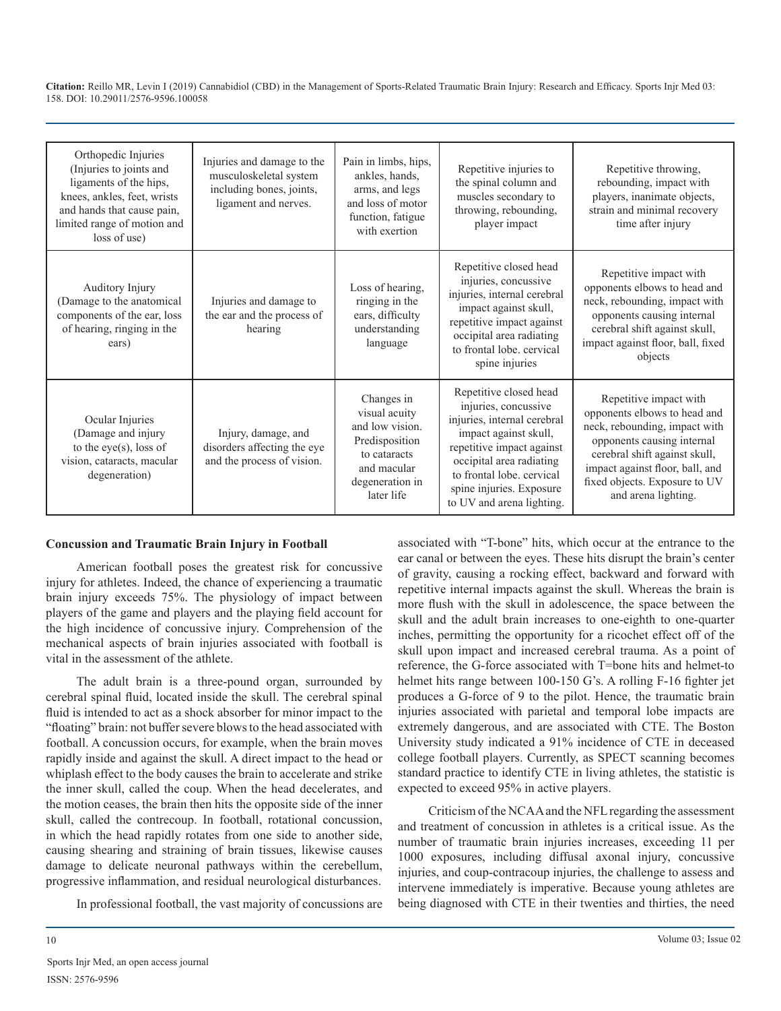| Orthopedic Injuries<br>(Injuries to joints and<br>ligaments of the hips,<br>knees, ankles, feet, wrists<br>and hands that cause pain,<br>limited range of motion and<br>loss of use) | Injuries and damage to the<br>musculoskeletal system<br>including bones, joints,<br>ligament and nerves. | Pain in limbs, hips,<br>ankles, hands.<br>arms, and legs<br>and loss of motor<br>function, fatigue<br>with exertion              | Repetitive injuries to<br>the spinal column and<br>muscles secondary to<br>throwing, rebounding,<br>player impact                                                                                                                                     | Repetitive throwing,<br>rebounding, impact with<br>players, inanimate objects,<br>strain and minimal recovery<br>time after injury                                                                                                                |
|--------------------------------------------------------------------------------------------------------------------------------------------------------------------------------------|----------------------------------------------------------------------------------------------------------|----------------------------------------------------------------------------------------------------------------------------------|-------------------------------------------------------------------------------------------------------------------------------------------------------------------------------------------------------------------------------------------------------|---------------------------------------------------------------------------------------------------------------------------------------------------------------------------------------------------------------------------------------------------|
| Auditory Injury<br>(Damage to the anatomical<br>components of the ear, loss<br>of hearing, ringing in the<br>ears)                                                                   | Injuries and damage to<br>the ear and the process of<br>hearing                                          | Loss of hearing,<br>ringing in the<br>ears, difficulty<br>understanding<br>language                                              | Repetitive closed head<br>injuries, concussive<br>injuries, internal cerebral<br>impact against skull,<br>repetitive impact against<br>occipital area radiating<br>to frontal lobe, cervical<br>spine injuries                                        | Repetitive impact with<br>opponents elbows to head and<br>neck, rebounding, impact with<br>opponents causing internal<br>cerebral shift against skull,<br>impact against floor, ball, fixed<br>objects                                            |
| Ocular Injuries<br>(Damage and injury<br>to the eye(s), loss of<br>vision, cataracts, macular<br>degeneration)                                                                       | Injury, damage, and<br>disorders affecting the eye<br>and the process of vision.                         | Changes in<br>visual acuity<br>and low vision.<br>Predisposition<br>to cataracts<br>and macular<br>degeneration in<br>later life | Repetitive closed head<br>injuries, concussive<br>injuries, internal cerebral<br>impact against skull,<br>repetitive impact against<br>occipital area radiating<br>to frontal lobe, cervical<br>spine injuries. Exposure<br>to UV and arena lighting. | Repetitive impact with<br>opponents elbows to head and<br>neck, rebounding, impact with<br>opponents causing internal<br>cerebral shift against skull,<br>impact against floor, ball, and<br>fixed objects. Exposure to UV<br>and arena lighting. |

#### **Concussion and Traumatic Brain Injury in Football**

American football poses the greatest risk for concussive injury for athletes. Indeed, the chance of experiencing a traumatic brain injury exceeds 75%. The physiology of impact between players of the game and players and the playing field account for the high incidence of concussive injury. Comprehension of the mechanical aspects of brain injuries associated with football is vital in the assessment of the athlete.

The adult brain is a three-pound organ, surrounded by cerebral spinal fluid, located inside the skull. The cerebral spinal fluid is intended to act as a shock absorber for minor impact to the "floating" brain: not buffer severe blows to the head associated with football. A concussion occurs, for example, when the brain moves rapidly inside and against the skull. A direct impact to the head or whiplash effect to the body causes the brain to accelerate and strike the inner skull, called the coup. When the head decelerates, and the motion ceases, the brain then hits the opposite side of the inner skull, called the contrecoup. In football, rotational concussion, in which the head rapidly rotates from one side to another side, causing shearing and straining of brain tissues, likewise causes damage to delicate neuronal pathways within the cerebellum, progressive inflammation, and residual neurological disturbances.

In professional football, the vast majority of concussions are

associated with "T-bone" hits, which occur at the entrance to the ear canal or between the eyes. These hits disrupt the brain's center of gravity, causing a rocking effect, backward and forward with repetitive internal impacts against the skull. Whereas the brain is more flush with the skull in adolescence, the space between the skull and the adult brain increases to one-eighth to one-quarter inches, permitting the opportunity for a ricochet effect off of the skull upon impact and increased cerebral trauma. As a point of reference, the G-force associated with T=bone hits and helmet-to helmet hits range between 100-150 G's. A rolling F-16 fighter jet produces a G-force of 9 to the pilot. Hence, the traumatic brain injuries associated with parietal and temporal lobe impacts are extremely dangerous, and are associated with CTE. The Boston University study indicated a 91% incidence of CTE in deceased college football players. Currently, as SPECT scanning becomes standard practice to identify CTE in living athletes, the statistic is expected to exceed 95% in active players.

Criticism of the NCAA and the NFL regarding the assessment and treatment of concussion in athletes is a critical issue. As the number of traumatic brain injuries increases, exceeding 11 per 1000 exposures, including diffusal axonal injury, concussive injuries, and coup-contracoup injuries, the challenge to assess and intervene immediately is imperative. Because young athletes are being diagnosed with CTE in their twenties and thirties, the need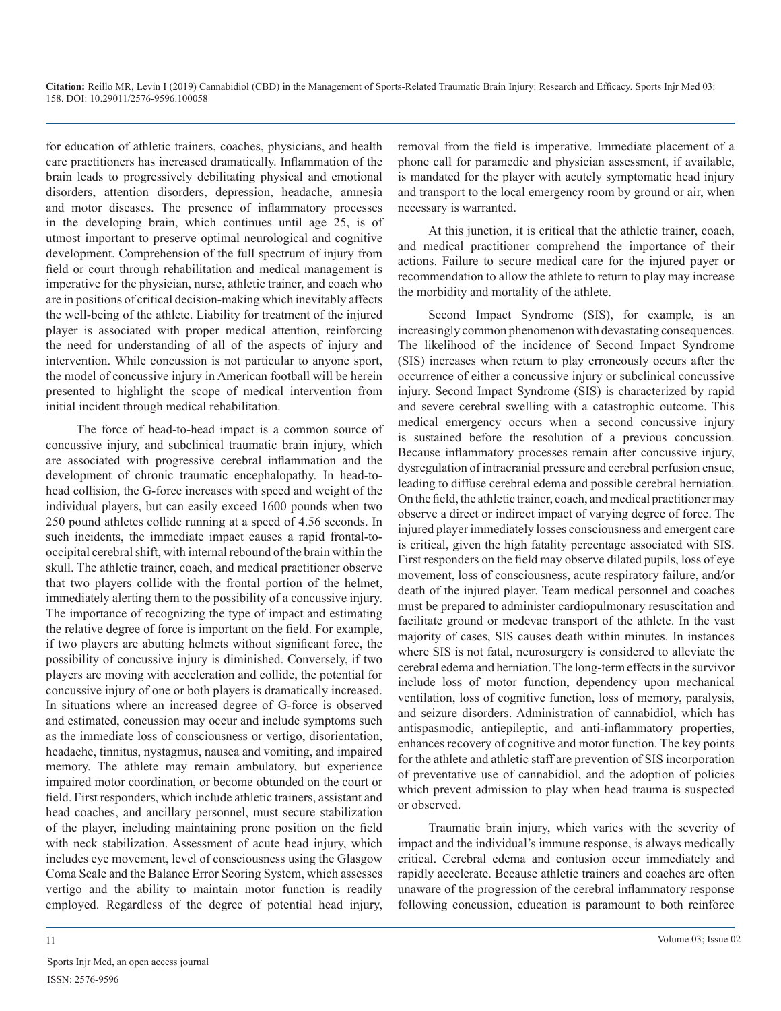for education of athletic trainers, coaches, physicians, and health care practitioners has increased dramatically. Inflammation of the brain leads to progressively debilitating physical and emotional disorders, attention disorders, depression, headache, amnesia and motor diseases. The presence of inflammatory processes in the developing brain, which continues until age 25, is of utmost important to preserve optimal neurological and cognitive development. Comprehension of the full spectrum of injury from field or court through rehabilitation and medical management is imperative for the physician, nurse, athletic trainer, and coach who are in positions of critical decision-making which inevitably affects the well-being of the athlete. Liability for treatment of the injured player is associated with proper medical attention, reinforcing the need for understanding of all of the aspects of injury and intervention. While concussion is not particular to anyone sport, the model of concussive injury in American football will be herein presented to highlight the scope of medical intervention from initial incident through medical rehabilitation.

The force of head-to-head impact is a common source of concussive injury, and subclinical traumatic brain injury, which are associated with progressive cerebral inflammation and the development of chronic traumatic encephalopathy. In head-tohead collision, the G-force increases with speed and weight of the individual players, but can easily exceed 1600 pounds when two 250 pound athletes collide running at a speed of 4.56 seconds. In such incidents, the immediate impact causes a rapid frontal-tooccipital cerebral shift, with internal rebound of the brain within the skull. The athletic trainer, coach, and medical practitioner observe that two players collide with the frontal portion of the helmet, immediately alerting them to the possibility of a concussive injury. The importance of recognizing the type of impact and estimating the relative degree of force is important on the field. For example, if two players are abutting helmets without significant force, the possibility of concussive injury is diminished. Conversely, if two players are moving with acceleration and collide, the potential for concussive injury of one or both players is dramatically increased. In situations where an increased degree of G-force is observed and estimated, concussion may occur and include symptoms such as the immediate loss of consciousness or vertigo, disorientation, headache, tinnitus, nystagmus, nausea and vomiting, and impaired memory. The athlete may remain ambulatory, but experience impaired motor coordination, or become obtunded on the court or field. First responders, which include athletic trainers, assistant and head coaches, and ancillary personnel, must secure stabilization of the player, including maintaining prone position on the field with neck stabilization. Assessment of acute head injury, which includes eye movement, level of consciousness using the Glasgow Coma Scale and the Balance Error Scoring System, which assesses vertigo and the ability to maintain motor function is readily employed. Regardless of the degree of potential head injury,

removal from the field is imperative. Immediate placement of a phone call for paramedic and physician assessment, if available, is mandated for the player with acutely symptomatic head injury and transport to the local emergency room by ground or air, when necessary is warranted.

At this junction, it is critical that the athletic trainer, coach, and medical practitioner comprehend the importance of their actions. Failure to secure medical care for the injured payer or recommendation to allow the athlete to return to play may increase the morbidity and mortality of the athlete.

Second Impact Syndrome (SIS), for example, is an increasingly common phenomenon with devastating consequences. The likelihood of the incidence of Second Impact Syndrome (SIS) increases when return to play erroneously occurs after the occurrence of either a concussive injury or subclinical concussive injury. Second Impact Syndrome (SIS) is characterized by rapid and severe cerebral swelling with a catastrophic outcome. This medical emergency occurs when a second concussive injury is sustained before the resolution of a previous concussion. Because inflammatory processes remain after concussive injury, dysregulation of intracranial pressure and cerebral perfusion ensue, leading to diffuse cerebral edema and possible cerebral herniation. On the field, the athletic trainer, coach, and medical practitioner may observe a direct or indirect impact of varying degree of force. The injured player immediately losses consciousness and emergent care is critical, given the high fatality percentage associated with SIS. First responders on the field may observe dilated pupils, loss of eye movement, loss of consciousness, acute respiratory failure, and/or death of the injured player. Team medical personnel and coaches must be prepared to administer cardiopulmonary resuscitation and facilitate ground or medevac transport of the athlete. In the vast majority of cases, SIS causes death within minutes. In instances where SIS is not fatal, neurosurgery is considered to alleviate the cerebral edema and herniation. The long-term effects in the survivor include loss of motor function, dependency upon mechanical ventilation, loss of cognitive function, loss of memory, paralysis, and seizure disorders. Administration of cannabidiol, which has antispasmodic, antiepileptic, and anti-inflammatory properties, enhances recovery of cognitive and motor function. The key points for the athlete and athletic staff are prevention of SIS incorporation of preventative use of cannabidiol, and the adoption of policies which prevent admission to play when head trauma is suspected or observed.

Traumatic brain injury, which varies with the severity of impact and the individual's immune response, is always medically critical. Cerebral edema and contusion occur immediately and rapidly accelerate. Because athletic trainers and coaches are often unaware of the progression of the cerebral inflammatory response following concussion, education is paramount to both reinforce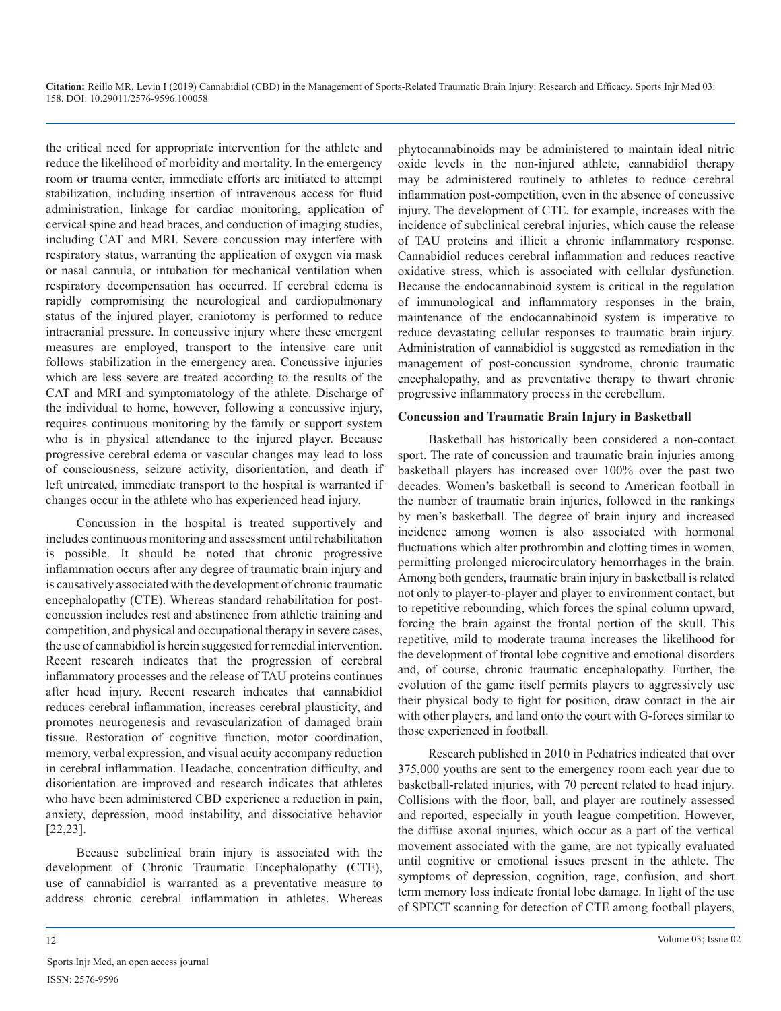the critical need for appropriate intervention for the athlete and reduce the likelihood of morbidity and mortality. In the emergency room or trauma center, immediate efforts are initiated to attempt stabilization, including insertion of intravenous access for fluid administration, linkage for cardiac monitoring, application of cervical spine and head braces, and conduction of imaging studies, including CAT and MRI. Severe concussion may interfere with respiratory status, warranting the application of oxygen via mask or nasal cannula, or intubation for mechanical ventilation when respiratory decompensation has occurred. If cerebral edema is rapidly compromising the neurological and cardiopulmonary status of the injured player, craniotomy is performed to reduce intracranial pressure. In concussive injury where these emergent measures are employed, transport to the intensive care unit follows stabilization in the emergency area. Concussive injuries which are less severe are treated according to the results of the CAT and MRI and symptomatology of the athlete. Discharge of the individual to home, however, following a concussive injury, requires continuous monitoring by the family or support system who is in physical attendance to the injured player. Because progressive cerebral edema or vascular changes may lead to loss of consciousness, seizure activity, disorientation, and death if left untreated, immediate transport to the hospital is warranted if changes occur in the athlete who has experienced head injury.

Concussion in the hospital is treated supportively and includes continuous monitoring and assessment until rehabilitation is possible. It should be noted that chronic progressive inflammation occurs after any degree of traumatic brain injury and is causatively associated with the development of chronic traumatic encephalopathy (CTE). Whereas standard rehabilitation for postconcussion includes rest and abstinence from athletic training and competition, and physical and occupational therapy in severe cases, the use of cannabidiol is herein suggested for remedial intervention. Recent research indicates that the progression of cerebral inflammatory processes and the release of TAU proteins continues after head injury. Recent research indicates that cannabidiol reduces cerebral inflammation, increases cerebral plausticity, and promotes neurogenesis and revascularization of damaged brain tissue. Restoration of cognitive function, motor coordination, memory, verbal expression, and visual acuity accompany reduction in cerebral inflammation. Headache, concentration difficulty, and disorientation are improved and research indicates that athletes who have been administered CBD experience a reduction in pain, anxiety, depression, mood instability, and dissociative behavior [22,23].

Because subclinical brain injury is associated with the development of Chronic Traumatic Encephalopathy (CTE), use of cannabidiol is warranted as a preventative measure to address chronic cerebral inflammation in athletes. Whereas phytocannabinoids may be administered to maintain ideal nitric oxide levels in the non-injured athlete, cannabidiol therapy may be administered routinely to athletes to reduce cerebral inflammation post-competition, even in the absence of concussive injury. The development of CTE, for example, increases with the incidence of subclinical cerebral injuries, which cause the release of TAU proteins and illicit a chronic inflammatory response. Cannabidiol reduces cerebral inflammation and reduces reactive oxidative stress, which is associated with cellular dysfunction. Because the endocannabinoid system is critical in the regulation of immunological and inflammatory responses in the brain, maintenance of the endocannabinoid system is imperative to reduce devastating cellular responses to traumatic brain injury. Administration of cannabidiol is suggested as remediation in the management of post-concussion syndrome, chronic traumatic encephalopathy, and as preventative therapy to thwart chronic progressive inflammatory process in the cerebellum.

#### **Concussion and Traumatic Brain Injury in Basketball**

Basketball has historically been considered a non-contact sport. The rate of concussion and traumatic brain injuries among basketball players has increased over 100% over the past two decades. Women's basketball is second to American football in the number of traumatic brain injuries, followed in the rankings by men's basketball. The degree of brain injury and increased incidence among women is also associated with hormonal fluctuations which alter prothrombin and clotting times in women, permitting prolonged microcirculatory hemorrhages in the brain. Among both genders, traumatic brain injury in basketball is related not only to player-to-player and player to environment contact, but to repetitive rebounding, which forces the spinal column upward, forcing the brain against the frontal portion of the skull. This repetitive, mild to moderate trauma increases the likelihood for the development of frontal lobe cognitive and emotional disorders and, of course, chronic traumatic encephalopathy. Further, the evolution of the game itself permits players to aggressively use their physical body to fight for position, draw contact in the air with other players, and land onto the court with G-forces similar to those experienced in football.

Research published in 2010 in Pediatrics indicated that over 375,000 youths are sent to the emergency room each year due to basketball-related injuries, with 70 percent related to head injury. Collisions with the floor, ball, and player are routinely assessed and reported, especially in youth league competition. However, the diffuse axonal injuries, which occur as a part of the vertical movement associated with the game, are not typically evaluated until cognitive or emotional issues present in the athlete. The symptoms of depression, cognition, rage, confusion, and short term memory loss indicate frontal lobe damage. In light of the use of SPECT scanning for detection of CTE among football players,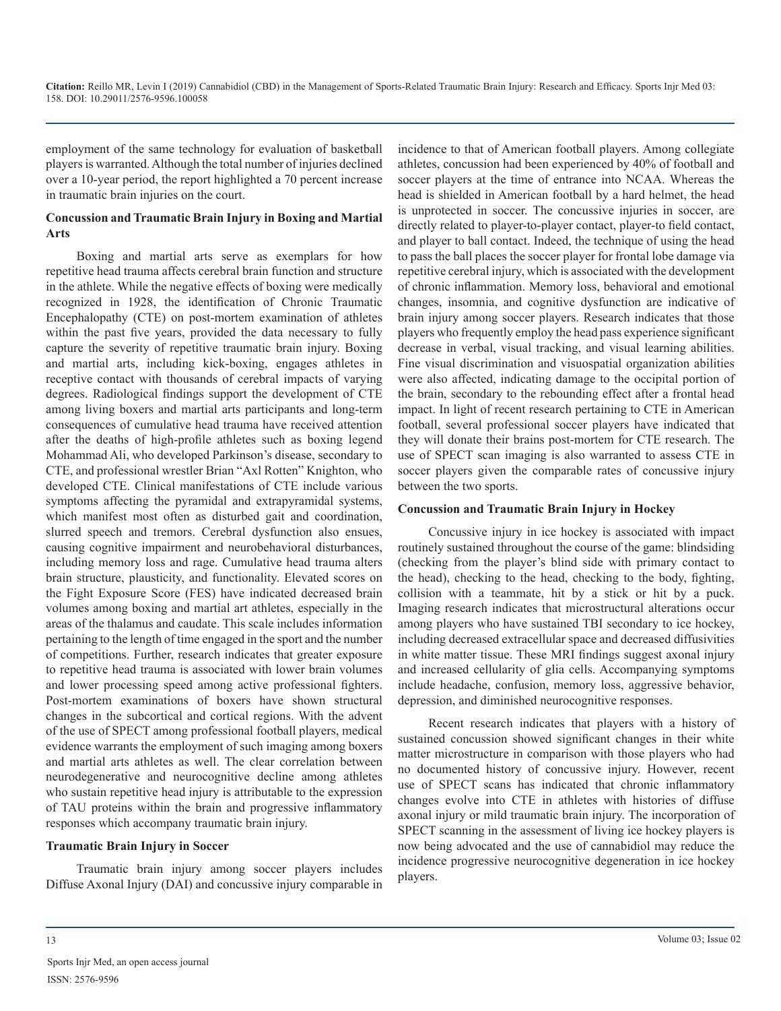employment of the same technology for evaluation of basketball players is warranted. Although the total number of injuries declined over a 10-year period, the report highlighted a 70 percent increase in traumatic brain injuries on the court.

# **Concussion and Traumatic Brain Injury in Boxing and Martial Arts**

Boxing and martial arts serve as exemplars for how repetitive head trauma affects cerebral brain function and structure in the athlete. While the negative effects of boxing were medically recognized in 1928, the identification of Chronic Traumatic Encephalopathy (CTE) on post-mortem examination of athletes within the past five years, provided the data necessary to fully capture the severity of repetitive traumatic brain injury. Boxing and martial arts, including kick-boxing, engages athletes in receptive contact with thousands of cerebral impacts of varying degrees. Radiological findings support the development of CTE among living boxers and martial arts participants and long-term consequences of cumulative head trauma have received attention after the deaths of high-profile athletes such as boxing legend Mohammad Ali, who developed Parkinson's disease, secondary to CTE, and professional wrestler Brian "Axl Rotten" Knighton, who developed CTE. Clinical manifestations of CTE include various symptoms affecting the pyramidal and extrapyramidal systems, which manifest most often as disturbed gait and coordination, slurred speech and tremors. Cerebral dysfunction also ensues, causing cognitive impairment and neurobehavioral disturbances, including memory loss and rage. Cumulative head trauma alters brain structure, plausticity, and functionality. Elevated scores on the Fight Exposure Score (FES) have indicated decreased brain volumes among boxing and martial art athletes, especially in the areas of the thalamus and caudate. This scale includes information pertaining to the length of time engaged in the sport and the number of competitions. Further, research indicates that greater exposure to repetitive head trauma is associated with lower brain volumes and lower processing speed among active professional fighters. Post-mortem examinations of boxers have shown structural changes in the subcortical and cortical regions. With the advent of the use of SPECT among professional football players, medical evidence warrants the employment of such imaging among boxers and martial arts athletes as well. The clear correlation between neurodegenerative and neurocognitive decline among athletes who sustain repetitive head injury is attributable to the expression of TAU proteins within the brain and progressive inflammatory responses which accompany traumatic brain injury.

## **Traumatic Brain Injury in Soccer**

Traumatic brain injury among soccer players includes Diffuse Axonal Injury (DAI) and concussive injury comparable in

incidence to that of American football players. Among collegiate athletes, concussion had been experienced by 40% of football and soccer players at the time of entrance into NCAA. Whereas the head is shielded in American football by a hard helmet, the head is unprotected in soccer. The concussive injuries in soccer, are directly related to player-to-player contact, player-to field contact, and player to ball contact. Indeed, the technique of using the head to pass the ball places the soccer player for frontal lobe damage via repetitive cerebral injury, which is associated with the development of chronic inflammation. Memory loss, behavioral and emotional changes, insomnia, and cognitive dysfunction are indicative of brain injury among soccer players. Research indicates that those players who frequently employ the head pass experience significant decrease in verbal, visual tracking, and visual learning abilities. Fine visual discrimination and visuospatial organization abilities were also affected, indicating damage to the occipital portion of the brain, secondary to the rebounding effect after a frontal head impact. In light of recent research pertaining to CTE in American football, several professional soccer players have indicated that they will donate their brains post-mortem for CTE research. The use of SPECT scan imaging is also warranted to assess CTE in soccer players given the comparable rates of concussive injury between the two sports.

# **Concussion and Traumatic Brain Injury in Hockey**

Concussive injury in ice hockey is associated with impact routinely sustained throughout the course of the game: blindsiding (checking from the player's blind side with primary contact to the head), checking to the head, checking to the body, fighting, collision with a teammate, hit by a stick or hit by a puck. Imaging research indicates that microstructural alterations occur among players who have sustained TBI secondary to ice hockey, including decreased extracellular space and decreased diffusivities in white matter tissue. These MRI findings suggest axonal injury and increased cellularity of glia cells. Accompanying symptoms include headache, confusion, memory loss, aggressive behavior, depression, and diminished neurocognitive responses.

Recent research indicates that players with a history of sustained concussion showed significant changes in their white matter microstructure in comparison with those players who had no documented history of concussive injury. However, recent use of SPECT scans has indicated that chronic inflammatory changes evolve into CTE in athletes with histories of diffuse axonal injury or mild traumatic brain injury. The incorporation of SPECT scanning in the assessment of living ice hockey players is now being advocated and the use of cannabidiol may reduce the incidence progressive neurocognitive degeneration in ice hockey players.